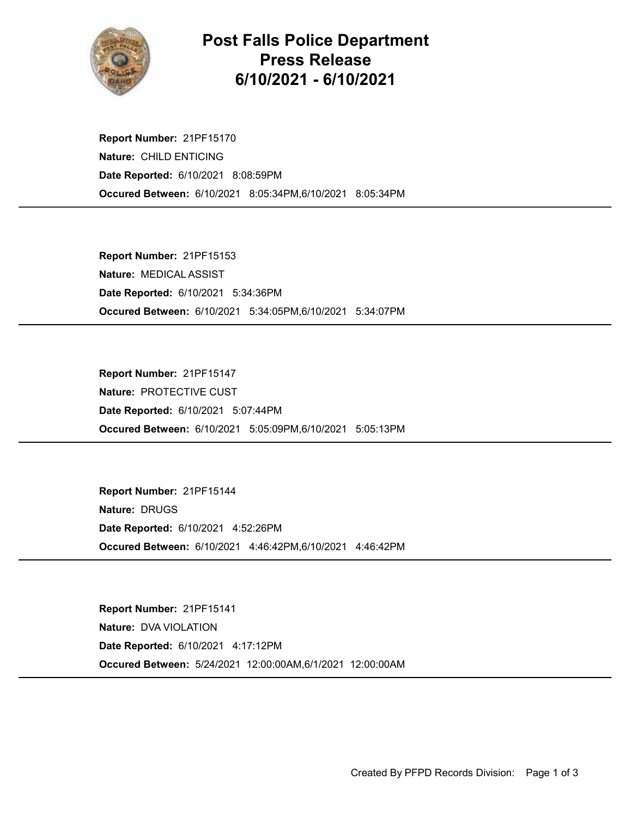

## Post Falls Police Department Press Release 6/10/2021 - 6/10/2021

Occured Between: 6/10/2021 8:05:34PM,6/10/2021 8:05:34PM Report Number: 21PF15170 Nature: CHILD ENTICING Date Reported: 6/10/2021 8:08:59PM

Occured Between: 6/10/2021 5:34:05PM,6/10/2021 5:34:07PM Report Number: 21PF15153 Nature: MEDICAL ASSIST Date Reported: 6/10/2021 5:34:36PM

Occured Between: 6/10/2021 5:05:09PM,6/10/2021 5:05:13PM Report Number: 21PF15147 Nature: PROTECTIVE CUST Date Reported: 6/10/2021 5:07:44PM

Occured Between: 6/10/2021 4:46:42PM,6/10/2021 4:46:42PM Report Number: 21PF15144 Nature: DRUGS Date Reported: 6/10/2021 4:52:26PM

Occured Between: 5/24/2021 12:00:00AM,6/1/2021 12:00:00AM Report Number: 21PF15141 Nature: DVA VIOLATION Date Reported: 6/10/2021 4:17:12PM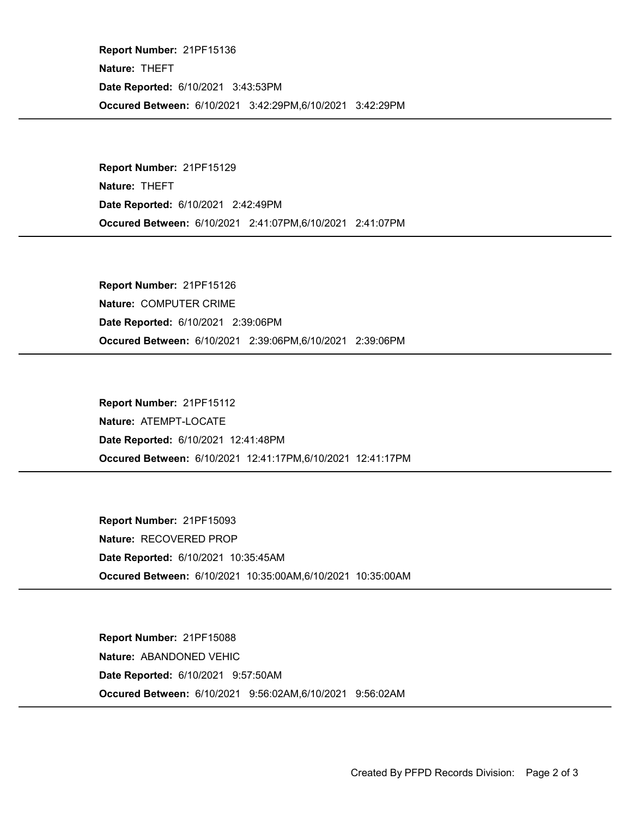Occured Between: 6/10/2021 3:42:29PM,6/10/2021 3:42:29PM Report Number: 21PF15136 Nature: THEFT Date Reported: 6/10/2021 3:43:53PM

Occured Between: 6/10/2021 2:41:07PM,6/10/2021 2:41:07PM Report Number: 21PF15129 Nature: THEFT Date Reported: 6/10/2021 2:42:49PM

Occured Between: 6/10/2021 2:39:06PM,6/10/2021 2:39:06PM Report Number: 21PF15126 Nature: COMPUTER CRIME Date Reported: 6/10/2021 2:39:06PM

Occured Between: 6/10/2021 12:41:17PM,6/10/2021 12:41:17PM Report Number: 21PF15112 Nature: ATEMPT-LOCATE Date Reported: 6/10/2021 12:41:48PM

Occured Between: 6/10/2021 10:35:00AM,6/10/2021 10:35:00AM Report Number: 21PF15093 Nature: RECOVERED PROP Date Reported: 6/10/2021 10:35:45AM

Occured Between: 6/10/2021 9:56:02AM,6/10/2021 9:56:02AM Report Number: 21PF15088 Nature: ABANDONED VEHIC Date Reported: 6/10/2021 9:57:50AM